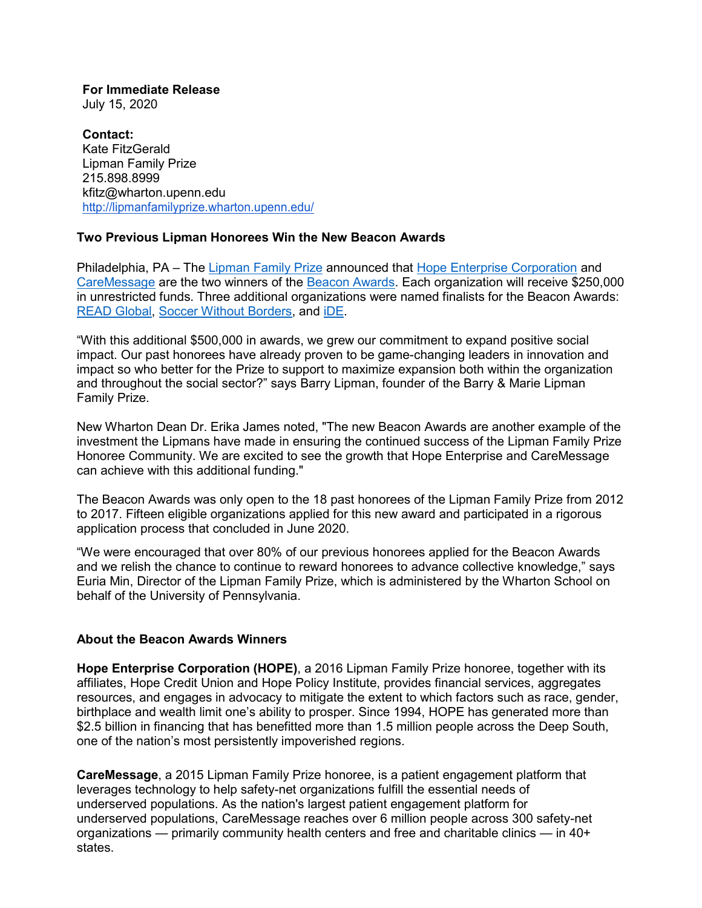**For Immediate Release** July 15, 2020

**Contact:** Kate FitzGerald Lipman Family Prize 215.898.8999 [kfitz@wharton.upenn.edu](mailto:kfitz@wharton.upenn.edu) <http://lipmanfamilyprize.wharton.upenn.edu/>

# **Two Previous Lipman Honorees Win the New Beacon Awards**

Philadelphia, PA – The [Lipman Family Prize](https://lipmanfamilyprize.wharton.upenn.edu/) announced that [Hope Enterprise Corporation](https://hopecu.org/about/hope-enterprise-corporation/) and [CareMessage](https://www.caremessage.org/) are the two winners of the [Beacon Awards.](https://lipmanfamilyprize.wharton.upenn.edu/beacon-awards/) Each organization will receive \$250,000 in unrestricted funds. Three additional organizations were named finalists for the Beacon Awards: [READ Global,](https://www.readglobal.org/) [Soccer Without Borders,](https://www.soccerwithoutborders.org/) and [iDE.](https://www.ideglobal.org/)

"With this additional \$500,000 in awards, we grew our commitment to expand positive social impact. Our past honorees have already proven to be game-changing leaders in innovation and impact so who better for the Prize to support to maximize expansion both within the organization and throughout the social sector?" says Barry Lipman, founder of the Barry & Marie Lipman Family Prize.

New Wharton Dean Dr. Erika James noted, "The new Beacon Awards are another example of the investment the Lipmans have made in ensuring the continued success of the Lipman Family Prize Honoree Community. We are excited to see the growth that Hope Enterprise and CareMessage can achieve with this additional funding."

The Beacon Awards was only open to the 18 past honorees of the Lipman Family Prize from 2012 to 2017. Fifteen eligible organizations applied for this new award and participated in a rigorous application process that concluded in June 2020.

"We were encouraged that over 80% of our previous honorees applied for the Beacon Awards and we relish the chance to continue to reward honorees to advance collective knowledge," says Euria Min, Director of the Lipman Family Prize, which is administered by the Wharton School on behalf of the University of Pennsylvania.

# **About the Beacon Awards Winners**

**Hope Enterprise Corporation (HOPE)**, a 2016 Lipman Family Prize honoree, together with its affiliates, Hope Credit Union and Hope Policy Institute, provides financial services, aggregates resources, and engages in advocacy to mitigate the extent to which factors such as race, gender, birthplace and wealth limit one's ability to prosper. Since 1994, HOPE has generated more than \$2.5 billion in financing that has benefitted more than 1.5 million people across the Deep South, one of the nation's most persistently impoverished regions.

**CareMessage**, a 2015 Lipman Family Prize honoree, is a patient engagement platform that leverages technology to help safety-net organizations fulfill the essential needs of underserved populations. As the nation's largest patient engagement platform for underserved populations, CareMessage reaches over 6 million people across 300 safety-net organizations — primarily community health centers and free and charitable clinics — in 40+ states.